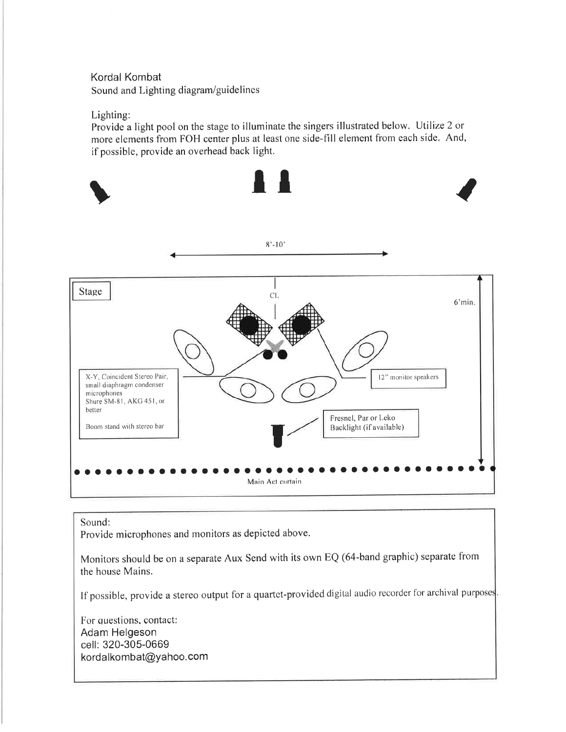## Kordal Kombat Sound and Lighting diagram/guidelines

### Lighting:

Provide a light pool on the stage to illuminate the singers illustrated below. Utilize 2 or more elements from FOH center plus at least one side-fill element from each side. And, if possible, provide an overhead back light.



### Sound:

Provide microphones and monitors as depicted above.

Monitors should be on a separate Aux Send with its own EQ (64-band graphic) separate from the house Mains.

If possible, provide a stereo output for a quartet-provided digital audio recorder for archival purposes.

For questions, contact: Adam Helgeson cell: 320-305-0669 kordalkombat@yahoo.com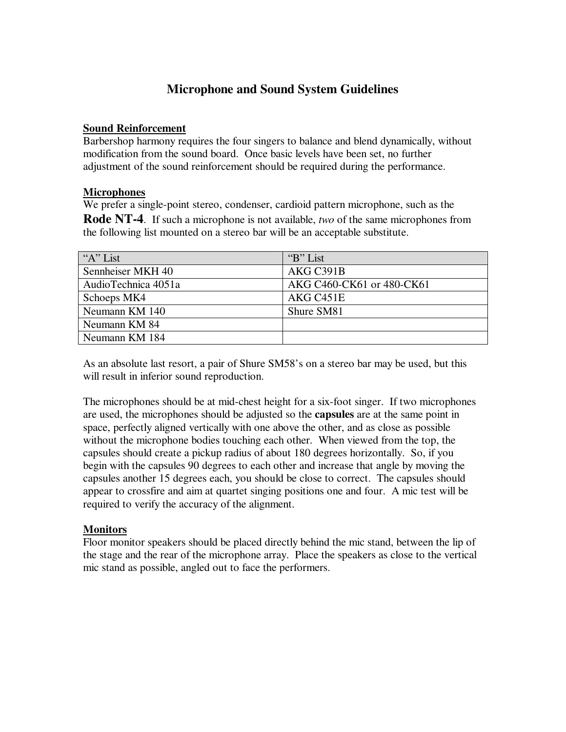# **River Cities Quartet Microphone and Sound System Guidelines**

### **Sound Reinforcement**

Barbershop harmony requires the four singers to balance and blend dynamically, without modification from the sound board. Once basic levels have been set, no further adjustment of the sound reinforcement should be required during the performance.

### **Microphones**

We prefer a single-point stereo, condenser, cardioid pattern microphone, such as the **Rode NT-4**. If such a microphone is not available, *two* of the same microphones from the following list mounted on a stereo bar will be an acceptable substitute.

| "A" List            | "B" List                  |
|---------------------|---------------------------|
| Sennheiser MKH 40   | AKG C391B                 |
| AudioTechnica 4051a | AKG C460-CK61 or 480-CK61 |
| Schoeps MK4         | AKG C <sub>451</sub> E    |
| Neumann KM 140      | Shure SM81                |
| Neumann KM 84       |                           |
| Neumann KM 184      |                           |

As an absolute last resort, a pair of Shure SM58's on a stereo bar may be used, but this will result in inferior sound reproduction.

The microphones should be at mid-chest height for a six-foot singer. If two microphones are used, the microphones should be adjusted so the **capsules** are at the same point in space, perfectly aligned vertically with one above the other, and as close as possible without the microphone bodies touching each other. When viewed from the top, the capsules should create a pickup radius of about 180 degrees horizontally. So, if you begin with the capsules 90 degrees to each other and increase that angle by moving the capsules another 15 degrees each, you should be close to correct. The capsules should appear to crossfire and aim at quartet singing positions one and four. A mic test will be required to verify the accuracy of the alignment.

## **Monitors**

Floor monitor speakers should be placed directly behind the mic stand, between the lip of the stage and the rear of the microphone array. Place the speakers as close to the vertical mic stand as possible, angled out to face the performers.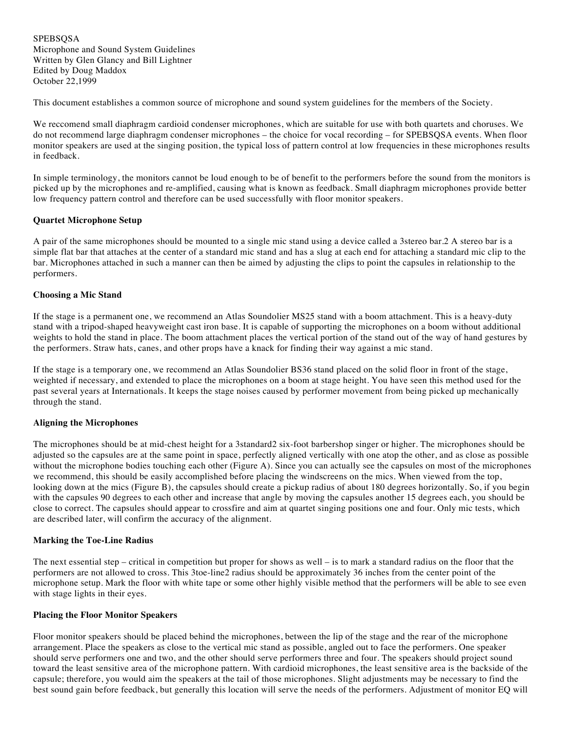**SPEBSOSA** Microphone and Sound System Guidelines Written by Glen Glancy and Bill Lightner Edited by Doug Maddox October 22,1999

This document establishes a common source of microphone and sound system guidelines for the members of the Society.

We reccomend small diaphragm cardioid condenser microphones, which are suitable for use with both quartets and choruses. We do not recommend large diaphragm condenser microphones – the choice for vocal recording – for SPEBSQSA events. When floor monitor speakers are used at the singing position, the typical loss of pattern control at low frequencies in these microphones results in feedback.

In simple terminology, the monitors cannot be loud enough to be of benefit to the performers before the sound from the monitors is picked up by the microphones and re-amplified, causing what is known as feedback. Small diaphragm microphones provide better low frequency pattern control and therefore can be used successfully with floor monitor speakers.

#### **Quartet Microphone Setup**

A pair of the same microphones should be mounted to a single mic stand using a device called a 3stereo bar.2 A stereo bar is a simple flat bar that attaches at the center of a standard mic stand and has a slug at each end for attaching a standard mic clip to the bar. Microphones attached in such a manner can then be aimed by adjusting the clips to point the capsules in relationship to the performers.

#### **Choosing a Mic Stand**

If the stage is a permanent one, we recommend an Atlas Soundolier MS25 stand with a boom attachment. This is a heavy-duty stand with a tripod-shaped heavyweight cast iron base. It is capable of supporting the microphones on a boom without additional weights to hold the stand in place. The boom attachment places the vertical portion of the stand out of the way of hand gestures by the performers. Straw hats, canes, and other props have a knack for finding their way against a mic stand.

If the stage is a temporary one, we recommend an Atlas Soundolier BS36 stand placed on the solid floor in front of the stage, weighted if necessary, and extended to place the microphones on a boom at stage height. You have seen this method used for the past several years at Internationals. It keeps the stage noises caused by performer movement from being picked up mechanically through the stand.

#### **Aligning the Microphones**

The microphones should be at mid-chest height for a 3standard2 six-foot barbershop singer or higher. The microphones should be adjusted so the capsules are at the same point in space, perfectly aligned vertically with one atop the other, and as close as possible without the microphone bodies touching each other (Figure A). Since you can actually see the capsules on most of the microphones we recommend, this should be easily accomplished before placing the windscreens on the mics. When viewed from the top, looking down at the mics (Figure B), the capsules should create a pickup radius of about 180 degrees horizontally. So, if you begin with the capsules 90 degrees to each other and increase that angle by moving the capsules another 15 degrees each, you should be close to correct. The capsules should appear to crossfire and aim at quartet singing positions one and four. Only mic tests, which are described later, will confirm the accuracy of the alignment.

#### **Marking the Toe-Line Radius**

The next essential step – critical in competition but proper for shows as well – is to mark a standard radius on the floor that the performers are not allowed to cross. This 3toe-line2 radius should be approximately 36 inches from the center point of the microphone setup. Mark the floor with white tape or some other highly visible method that the performers will be able to see even with stage lights in their eyes.

#### **Placing the Floor Monitor Speakers**

Floor monitor speakers should be placed behind the microphones, between the lip of the stage and the rear of the microphone arrangement. Place the speakers as close to the vertical mic stand as possible, angled out to face the performers. One speaker should serve performers one and two, and the other should serve performers three and four. The speakers should project sound toward the least sensitive area of the microphone pattern. With cardioid microphones, the least sensitive area is the backside of the capsule; therefore, you would aim the speakers at the tail of those microphones. Slight adjustments may be necessary to find the best sound gain before feedback, but generally this location will serve the needs of the performers. Adjustment of monitor EQ will